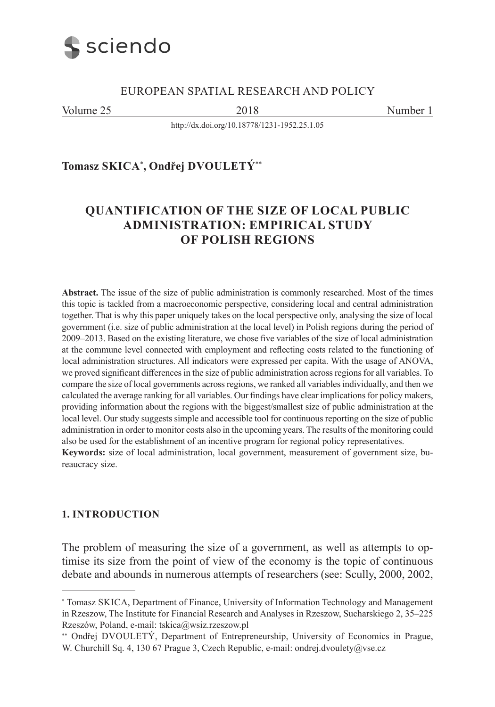

## EUROPEAN SPATIAL RESEARCH AND POLICY

Volume 25 2018 2018 Number 1

<http://dx.doi.org/10.18778/1231-1952.25.1.05>

**Tomasz SKICA**<sup>∗</sup> **, Ondřej DVOULETÝ**∗∗

# **QUANTIFICATION OF THE SIZE OF LOCAL PUBLIC ADMINISTRATION: EMPIRICAL STUDY OF POLISH REGIONS**

**Abstract.** The issue of the size of public administration is commonly researched. Most of the times this topic is tackled from a macroeconomic perspective, considering local and central administration together. That is why this paper uniquely takes on the local perspective only, analysing the size of local government (i.e. size of public administration at the local level) in Polish regions during the period of 2009–2013. Based on the existing literature, we chose five variables of the size of local administration at the commune level connected with employment and reflecting costs related to the functioning of local administration structures. All indicators were expressed per capita. With the usage of ANOVA, we proved significant differences in the size of public administration across regions for all variables. To compare the size of local governments across regions, we ranked all variables individually, and then we calculated the average ranking for all variables. Our findings have clear implications for policy makers, providing information about the regions with the biggest/smallest size of public administration at the local level. Our study suggests simple and accessible tool for continuous reporting on the size of public administration in order to monitor costs also in the upcoming years. The results of the monitoring could also be used for the establishment of an incentive program for regional policy representatives. **Keywords:** size of local administration, local government, measurement of government size, bureaucracy size.

# **1. INTRODUCTION**

The problem of measuring the size of a government, as well as attempts to optimise its size from the point of view of the economy is the topic of continuous debate and abounds in numerous attempts of researchers (see: Scully, 2000, 2002,

<sup>∗</sup> Tomasz SKICA, Department of Finance, University of Information Technology and Management in Rzeszow, The Institute for Financial Research and Analyses in Rzeszow, Sucharskiego 2, 35–225 Rzeszów, Poland, e-mail: tskica@wsiz.rzeszow.pl

<sup>∗∗</sup> Ondřej DVOULETÝ, Department of Entrepreneurship, University of Economics in Prague, W. Churchill Sq. 4, 130 67 Prague 3, Czech Republic, e-mail: ondrej.dvoulety@vse.cz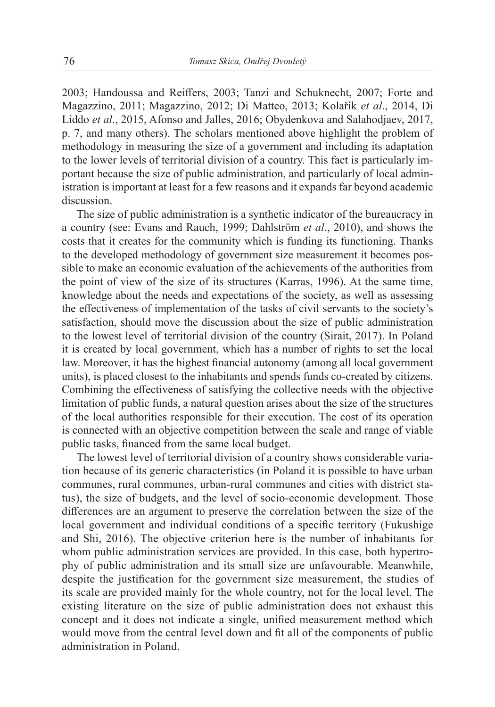2003; Handoussa and Reiffers, 2003; Tanzi and Schuknecht, 2007; Forte and Magazzino, 2011; Magazzino, 2012; Di Matteo, 2013; Kolařík *et al*., 2014, Di Liddo *et al*., 2015, Afonso and Jalles, 2016; Obydenkova and Salahodjaev, 2017, p. 7, and many others). The scholars mentioned above highlight the problem of methodology in measuring the size of a government and including its adaptation to the lower levels of territorial division of a country. This fact is particularly important because the size of public administration, and particularly of local administration is important at least for a few reasons and it expands far beyond academic discussion.

The size of public administration is a synthetic indicator of the bureaucracy in a country (see: Evans and Rauch, 1999; Dahlström *et al*., 2010), and shows the costs that it creates for the community which is funding its functioning. Thanks to the developed methodology of government size measurement it becomes possible to make an economic evaluation of the achievements of the authorities from the point of view of the size of its structures (Karras, 1996). At the same time, knowledge about the needs and expectations of the society, as well as assessing the effectiveness of implementation of the tasks of civil servants to the society's satisfaction, should move the discussion about the size of public administration to the lowest level of territorial division of the country (Sirait, 2017). In Poland it is created by local government, which has a number of rights to set the local law. Moreover, it has the highest financial autonomy (among all local government units), is placed closest to the inhabitants and spends funds co-created by citizens. Combining the effectiveness of satisfying the collective needs with the objective limitation of public funds, a natural question arises about the size of the structures of the local authorities responsible for their execution. The cost of its operation is connected with an objective competition between the scale and range of viable public tasks, financed from the same local budget.

The lowest level of territorial division of a country shows considerable variation because of its generic characteristics (in Poland it is possible to have urban communes, rural communes, urban-rural communes and cities with district status), the size of budgets, and the level of socio-economic development. Those differences are an argument to preserve the correlation between the size of the local government and individual conditions of a specific territory (Fukushige and Shi, 2016). The objective criterion here is the number of inhabitants for whom public administration services are provided. In this case, both hypertrophy of public administration and its small size are unfavourable. Meanwhile, despite the justification for the government size measurement, the studies of its scale are provided mainly for the whole country, not for the local level. The existing literature on the size of public administration does not exhaust this concept and it does not indicate a single, unified measurement method which would move from the central level down and fit all of the components of public administration in Poland.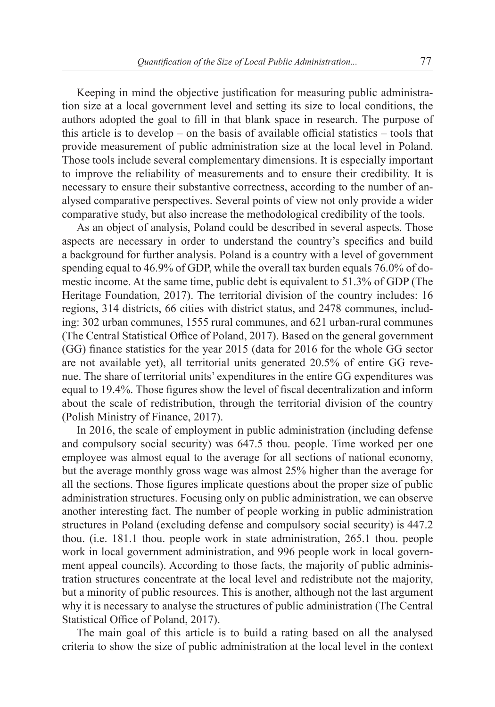Keeping in mind the objective justification for measuring public administration size at a local government level and setting its size to local conditions, the authors adopted the goal to fill in that blank space in research. The purpose of this article is to develop – on the basis of available official statistics – tools that provide measurement of public administration size at the local level in Poland. Those tools include several complementary dimensions. It is especially important to improve the reliability of measurements and to ensure their credibility. It is necessary to ensure their substantive correctness, according to the number of analysed comparative perspectives. Several points of view not only provide a wider comparative study, but also increase the methodological credibility of the tools.

As an object of analysis, Poland could be described in several aspects. Those aspects are necessary in order to understand the country's specifics and build a background for further analysis. Poland is a country with a level of government spending equal to 46.9% of GDP, while the overall tax burden equals 76.0% of domestic income. At the same time, public debt is equivalent to 51.3% of GDP (The Heritage Foundation, 2017). The territorial division of the country includes: 16 regions, 314 districts, 66 cities with district status, and 2478 communes, including: 302 urban communes, 1555 rural communes, and 621 urban-rural communes (The Central Statistical Office of Poland, 2017). Based on the general government (GG) finance statistics for the year 2015 (data for 2016 for the whole GG sector are not available yet), all territorial units generated 20.5% of entire GG revenue. The share of territorial units' expenditures in the entire GG expenditures was equal to 19.4%. Those figures show the level of fiscal decentralization and inform about the scale of redistribution, through the territorial division of the country (Polish Ministry of Finance, 2017).

In 2016, the scale of employment in public administration (including defense and compulsory social security) was 647.5 thou. people. Time worked per one employee was almost equal to the average for all sections of national economy, but the average monthly gross wage was almost 25% higher than the average for all the sections. Those figures implicate questions about the proper size of public administration structures. Focusing only on public administration, we can observe another interesting fact. The number of people working in public administration structures in Poland (excluding defense and compulsory social security) is 447.2 thou. (i.e. 181.1 thou. people work in state administration, 265.1 thou. people work in local government administration, and 996 people work in local government appeal councils). According to those facts, the majority of public administration structures concentrate at the local level and redistribute not the majority, but a minority of public resources. This is another, although not the last argument why it is necessary to analyse the structures of public administration (The Central Statistical Office of Poland, 2017).

The main goal of this article is to build a rating based on all the analysed criteria to show the size of public administration at the local level in the context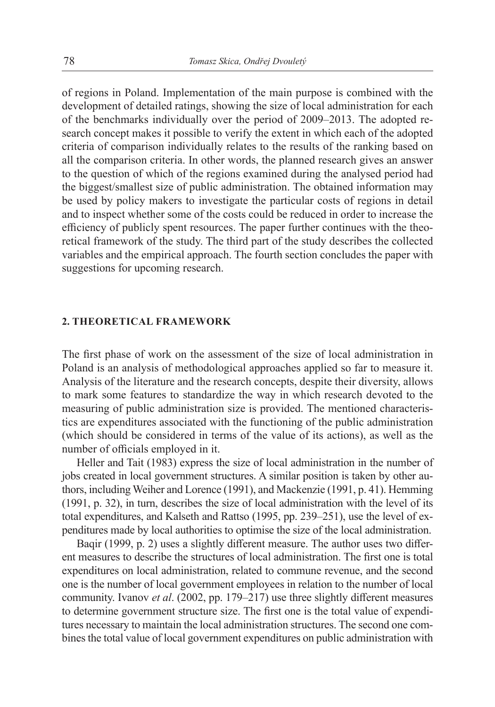of regions in Poland. Implementation of the main purpose is combined with the development of detailed ratings, showing the size of local administration for each of the benchmarks individually over the period of 2009–2013. The adopted research concept makes it possible to verify the extent in which each of the adopted criteria of comparison individually relates to the results of the ranking based on all the comparison criteria. In other words, the planned research gives an answer to the question of which of the regions examined during the analysed period had the biggest/smallest size of public administration. The obtained information may be used by policy makers to investigate the particular costs of regions in detail and to inspect whether some of the costs could be reduced in order to increase the efficiency of publicly spent resources. The paper further continues with the theoretical framework of the study. The third part of the study describes the collected variables and the empirical approach. The fourth section concludes the paper with suggestions for upcoming research.

#### **2. THEORETICAL FRAMEWORK**

The first phase of work on the assessment of the size of local administration in Poland is an analysis of methodological approaches applied so far to measure it. Analysis of the literature and the research concepts, despite their diversity, allows to mark some features to standardize the way in which research devoted to the measuring of public administration size is provided. The mentioned characteristics are expenditures associated with the functioning of the public administration (which should be considered in terms of the value of its actions), as well as the number of officials employed in it.

Heller and Tait (1983) express the size of local administration in the number of jobs created in local government structures. A similar position is taken by other authors, including Weiher and Lorence (1991), and Mackenzie (1991, p. 41). Hemming (1991, p. 32), in turn, describes the size of local administration with the level of its total expenditures, and Kalseth and Rattso (1995, pp. 239–251), use the level of expenditures made by local authorities to optimise the size of the local administration.

Baqir (1999, p. 2) uses a slightly different measure. The author uses two different measures to describe the structures of local administration. The first one is total expenditures on local administration, related to commune revenue, and the second one is the number of local government employees in relation to the number of local community. Ivanov *et al*. (2002, pp. 179–217) use three slightly different measures to determine government structure size. The first one is the total value of expenditures necessary to maintain the local administration structures. The second one combines the total value of local government expenditures on public administration with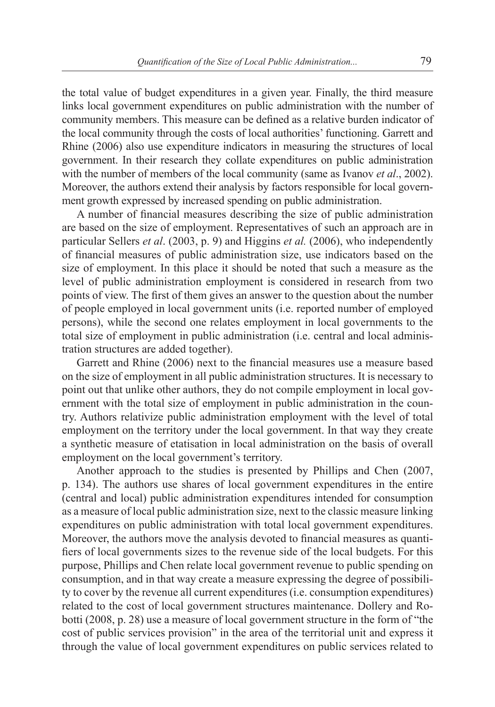the total value of budget expenditures in a given year. Finally, the third measure links local government expenditures on public administration with the number of community members. This measure can be defined as a relative burden indicator of the local community through the costs of local authorities' functioning. Garrett and Rhine (2006) also use expenditure indicators in measuring the structures of local government. In their research they collate expenditures on public administration with the number of members of the local community (same as Ivanov *et al*., 2002). Moreover, the authors extend their analysis by factors responsible for local government growth expressed by increased spending on public administration.

A number of financial measures describing the size of public administration are based on the size of employment. Representatives of such an approach are in particular Sellers *et al*. (2003, p. 9) and Higgins *et al.* (2006), who independently of financial measures of public administration size, use indicators based on the size of employment. In this place it should be noted that such a measure as the level of public administration employment is considered in research from two points of view. The first of them gives an answer to the question about the number of people employed in local government units (i.e. reported number of employed persons), while the second one relates employment in local governments to the total size of employment in public administration (i.e. central and local administration structures are added together).

Garrett and Rhine (2006) next to the financial measures use a measure based on the size of employment in all public administration structures. It is necessary to point out that unlike other authors, they do not compile employment in local government with the total size of employment in public administration in the country. Authors relativize public administration employment with the level of total employment on the territory under the local government. In that way they create a synthetic measure of etatisation in local administration on the basis of overall employment on the local government's territory.

Another approach to the studies is presented by Phillips and Chen (2007, p. 134). The authors use shares of local government expenditures in the entire (central and local) public administration expenditures intended for consumption as a measure of local public administration size, next to the classic measure linking expenditures on public administration with total local government expenditures. Moreover, the authors move the analysis devoted to financial measures as quantifiers of local governments sizes to the revenue side of the local budgets. For this purpose, Phillips and Chen relate local government revenue to public spending on consumption, and in that way create a measure expressing the degree of possibility to cover by the revenue all current expenditures (i.e. consumption expenditures) related to the cost of local government structures maintenance. Dollery and Robotti (2008, p. 28) use a measure of local government structure in the form of "the cost of public services provision" in the area of the territorial unit and express it through the value of local government expenditures on public services related to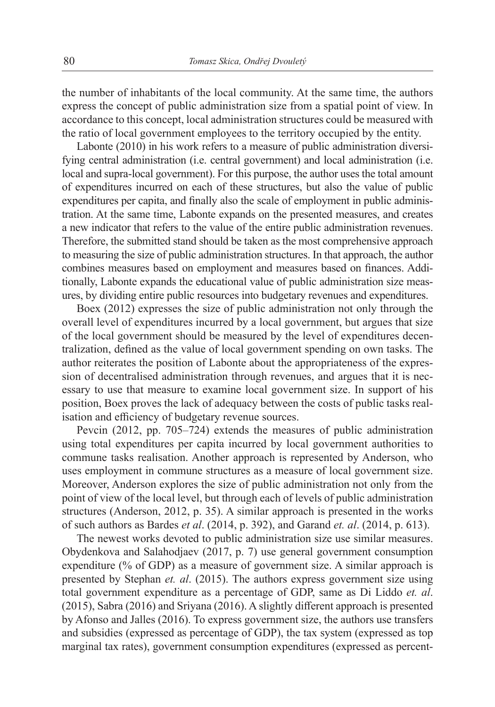the number of inhabitants of the local community. At the same time, the authors express the concept of public administration size from a spatial point of view. In accordance to this concept, local administration structures could be measured with the ratio of local government employees to the territory occupied by the entity.

Labonte (2010) in his work refers to a measure of public administration diversifying central administration (i.e. central government) and local administration (i.e. local and supra-local government). For this purpose, the author uses the total amount of expenditures incurred on each of these structures, but also the value of public expenditures per capita, and finally also the scale of employment in public administration. At the same time, Labonte expands on the presented measures, and creates a new indicator that refers to the value of the entire public administration revenues. Therefore, the submitted stand should be taken as the most comprehensive approach to measuring the size of public administration structures. In that approach, the author combines measures based on employment and measures based on finances. Additionally, Labonte expands the educational value of public administration size measures, by dividing entire public resources into budgetary revenues and expenditures.

Boex (2012) expresses the size of public administration not only through the overall level of expenditures incurred by a local government, but argues that size of the local government should be measured by the level of expenditures decentralization, defined as the value of local government spending on own tasks. The author reiterates the position of Labonte about the appropriateness of the expression of decentralised administration through revenues, and argues that it is necessary to use that measure to examine local government size. In support of his position, Boex proves the lack of adequacy between the costs of public tasks realisation and efficiency of budgetary revenue sources.

Pevcin (2012, pp. 705–724) extends the measures of public administration using total expenditures per capita incurred by local government authorities to commune tasks realisation. Another approach is represented by Anderson, who uses employment in commune structures as a measure of local government size. Moreover, Anderson explores the size of public administration not only from the point of view of the local level, but through each of levels of public administration structures (Anderson, 2012, p. 35). A similar approach is presented in the works of such authors as Bardes *et al*. (2014, p. 392), and Garand *et. al*. (2014, p. 613).

The newest works devoted to public administration size use similar measures. Obydenkova and Salahodjaev (2017, p. 7) use general government consumption expenditure (% of GDP) as a measure of government size. A similar approach is presented by Stephan *et. al*. (2015). The authors express government size using total government expenditure as a percentage of GDP, same as Di Liddo *et. al*. (2015), Sabra (2016) and Sriyana (2016). A slightly different approach is presented by Afonso and Jalles (2016). To express government size, the authors use transfers and subsidies (expressed as percentage of GDP), the tax system (expressed as top marginal tax rates), government consumption expenditures (expressed as percent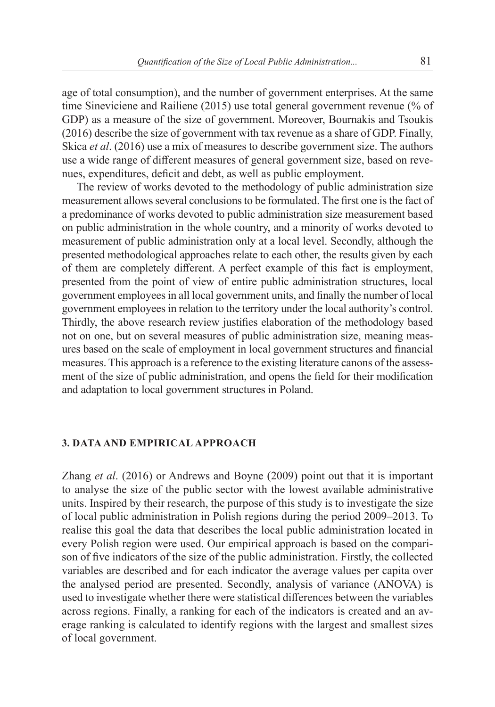age of total consumption), and the number of government enterprises. At the same time Sineviciene and Railiene (2015) use total general government revenue (% of GDP) as a measure of the size of government. Moreover, Bournakis and Tsoukis (2016) describe the size of government with tax revenue as a share of GDP. Finally, Skica *et al*. (2016) use a mix of measures to describe government size. The authors use a wide range of different measures of general government size, based on revenues, expenditures, deficit and debt, as well as public employment.

The review of works devoted to the methodology of public administration size measurement allows several conclusions to be formulated. The first one is the fact of a predominance of works devoted to public administration size measurement based on public administration in the whole country, and a minority of works devoted to measurement of public administration only at a local level. Secondly, although the presented methodological approaches relate to each other, the results given by each of them are completely different. A perfect example of this fact is employment, presented from the point of view of entire public administration structures, local government employees in all local government units, and finally the number of local government employees in relation to the territory under the local authority's control. Thirdly, the above research review justifies elaboration of the methodology based not on one, but on several measures of public administration size, meaning measures based on the scale of employment in local government structures and financial measures. This approach is a reference to the existing literature canons of the assessment of the size of public administration, and opens the field for their modification and adaptation to local government structures in Poland.

#### **3. DATA AND EMPIRICAL APPROACH**

Zhang *et al*. (2016) or Andrews and Boyne (2009) point out that it is important to analyse the size of the public sector with the lowest available administrative units. Inspired by their research, the purpose of this study is to investigate the size of local public administration in Polish regions during the period 2009–2013. To realise this goal the data that describes the local public administration located in every Polish region were used. Our empirical approach is based on the comparison of five indicators of the size of the public administration. Firstly, the collected variables are described and for each indicator the average values per capita over the analysed period are presented. Secondly, analysis of variance (ANOVA) is used to investigate whether there were statistical differences between the variables across regions. Finally, a ranking for each of the indicators is created and an average ranking is calculated to identify regions with the largest and smallest sizes of local government.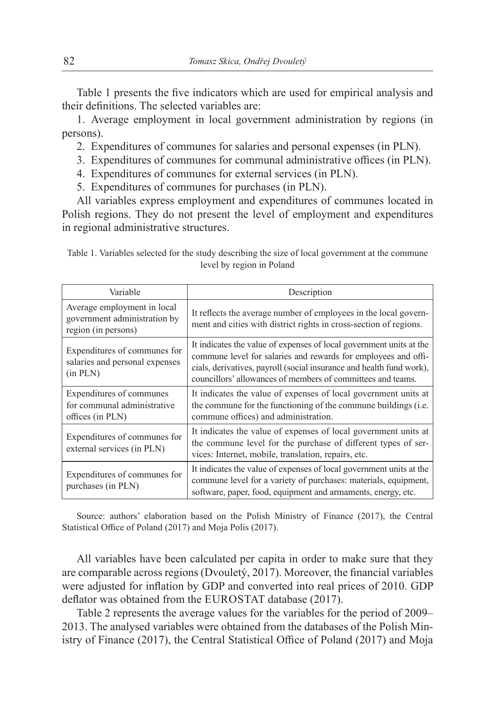Table 1 presents the five indicators which are used for empirical analysis and their definitions. The selected variables are:

1. Average employment in local government administration by regions (in persons).

- 2. Expenditures of communes for salaries and personal expenses (in PLN).
- 3. Expenditures of communes for communal administrative offices (in PLN).
- 4. Expenditures of communes for external services (in PLN).
- 5. Expenditures of communes for purchases (in PLN).

All variables express employment and expenditures of communes located in Polish regions. They do not present the level of employment and expenditures in regional administrative structures.

| Variable                                                                           | Description                                                                                                                                                                                                                                                                  |  |
|------------------------------------------------------------------------------------|------------------------------------------------------------------------------------------------------------------------------------------------------------------------------------------------------------------------------------------------------------------------------|--|
| Average employment in local<br>government administration by<br>region (in persons) | It reflects the average number of employees in the local govern-<br>ment and cities with district rights in cross-section of regions.                                                                                                                                        |  |
| Expenditures of communes for<br>salaries and personal expenses<br>(in PLN)         | It indicates the value of expenses of local government units at the<br>commune level for salaries and rewards for employees and offi-<br>cials, derivatives, payroll (social insurance and health fund work),<br>councillors' allowances of members of committees and teams. |  |
| Expenditures of communes<br>for communal administrative<br>offices (in PLN)        | It indicates the value of expenses of local government units at<br>the commune for the functioning of the commune buildings ( <i>i.e.</i><br>commune offices) and administration.                                                                                            |  |
| Expenditures of communes for<br>external services (in PLN)                         | It indicates the value of expenses of local government units at<br>the commune level for the purchase of different types of ser-<br>vices: Internet, mobile, translation, repairs, etc.                                                                                      |  |
| $\mathbf{r}$ at $\mathbf{r}$                                                       | It indicates the value of expenses of local government units at the                                                                                                                                                                                                          |  |

Table 1. Variables selected for the study describing the size of local government at the commune level by region in Poland

Source: authors' elaboration based on the Polish Ministry of Finance (2017), the Central Statistical Office of Poland (2017) and Moja Polis (2017).

commune level for a variety of purchases: materials, equipment, software, paper, food, equipment and armaments, energy, etc.

Expenditures of communes for

purchases (in PLN)

All variables have been calculated per capita in order to make sure that they are comparable across regions (Dvouletý, 2017). Moreover, the financial variables were adjusted for inflation by GDP and converted into real prices of 2010. GDP deflator was obtained from the EUROSTAT database (2017).

Table 2 represents the average values for the variables for the period of 2009– 2013. The analysed variables were obtained from the databases of the Polish Ministry of Finance (2017), the Central Statistical Office of Poland (2017) and Moja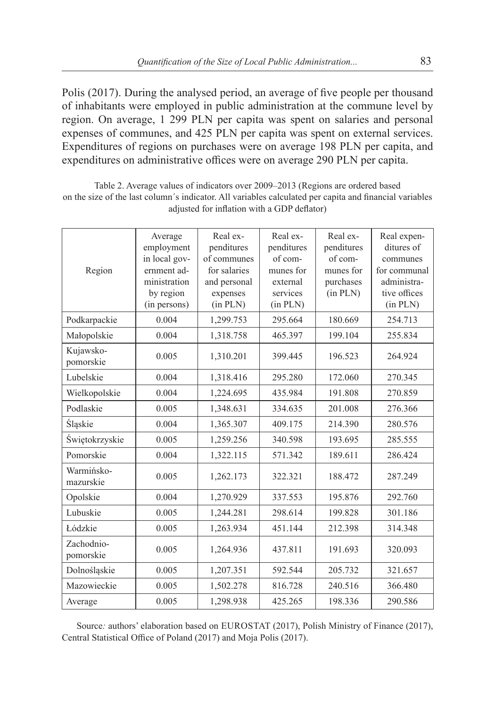Polis (2017). During the analysed period, an average of five people per thousand of inhabitants were employed in public administration at the commune level by region. On average, 1 299 PLN per capita was spent on salaries and personal expenses of communes, and 425 PLN per capita was spent on external services. Expenditures of regions on purchases were on average 198 PLN per capita, and expenditures on administrative offices were on average 290 PLN per capita.

| Region                  | Average<br>employment<br>in local gov-<br>ernment ad-<br>ministration<br>by region<br>(in persons) | Real ex-<br>penditures<br>of communes<br>for salaries<br>and personal<br>expenses<br>(in PLN) | Real ex-<br>penditures<br>of com-<br>munes for<br>external<br>services<br>(in PLN) | Real ex-<br>penditures<br>of com-<br>munes for<br>purchases<br>(in PLN) | Real expen-<br>ditures of<br>communes<br>for communal<br>administra-<br>tive offices<br>(in PLN) |
|-------------------------|----------------------------------------------------------------------------------------------------|-----------------------------------------------------------------------------------------------|------------------------------------------------------------------------------------|-------------------------------------------------------------------------|--------------------------------------------------------------------------------------------------|
| Podkarpackie            | 0.004                                                                                              | 1,299.753                                                                                     | 295.664                                                                            | 180.669                                                                 | 254.713                                                                                          |
| Małopolskie             | 0.004                                                                                              | 1,318.758                                                                                     | 465.397                                                                            | 199.104                                                                 | 255.834                                                                                          |
| Kujawsko-<br>pomorskie  | 0.005                                                                                              | 1,310.201                                                                                     | 399.445                                                                            | 196.523                                                                 | 264.924                                                                                          |
| Lubelskie               | 0.004                                                                                              | 1,318.416                                                                                     | 295.280                                                                            | 172.060                                                                 | 270.345                                                                                          |
| Wielkopolskie           | 0.004                                                                                              | 1,224.695                                                                                     | 435.984                                                                            | 191.808                                                                 | 270.859                                                                                          |
| Podlaskie               | 0.005                                                                                              | 1,348.631                                                                                     | 334.635                                                                            | 201.008                                                                 | 276.366                                                                                          |
| Śląskie                 | 0.004                                                                                              | 1,365.307                                                                                     | 409.175                                                                            | 214.390                                                                 | 280.576                                                                                          |
| Świętokrzyskie          | 0.005                                                                                              | 1,259.256                                                                                     | 340.598                                                                            | 193.695                                                                 | 285.555                                                                                          |
| Pomorskie               | 0.004                                                                                              | 1,322.115                                                                                     | 571.342                                                                            | 189.611                                                                 | 286.424                                                                                          |
| Warmińsko-<br>mazurskie | 0.005                                                                                              | 1,262.173                                                                                     | 322.321                                                                            | 188.472                                                                 | 287.249                                                                                          |
| Opolskie                | 0.004                                                                                              | 1,270.929                                                                                     | 337.553                                                                            | 195.876                                                                 | 292.760                                                                                          |
| Lubuskie                | 0.005                                                                                              | 1,244.281                                                                                     | 298.614                                                                            | 199.828                                                                 | 301.186                                                                                          |
| Łódzkie                 | 0.005                                                                                              | 1,263.934                                                                                     | 451.144                                                                            | 212.398                                                                 | 314.348                                                                                          |
| Zachodnio-<br>pomorskie | 0.005                                                                                              | 1,264.936                                                                                     | 437.811                                                                            | 191.693                                                                 | 320.093                                                                                          |
| Dolnośląskie            | 0.005                                                                                              | 1,207.351                                                                                     | 592.544                                                                            | 205.732                                                                 | 321.657                                                                                          |
| Mazowieckie             | 0.005                                                                                              | 1,502.278                                                                                     | 816.728                                                                            | 240.516                                                                 | 366.480                                                                                          |
| Average                 | 0.005                                                                                              | 1,298.938                                                                                     | 425.265                                                                            | 198.336                                                                 | 290.586                                                                                          |

Table 2. Average values of indicators over 2009–2013 (Regions are ordered based on the size of the last column´s indicator. All variables calculated per capita and financial variables adjusted for inflation with a GDP deflator)

Source: authors' elaboration based on EUROSTAT (2017), Polish Ministry of Finance (2017), Central Statistical Office of Poland (2017) and Moja Polis (2017).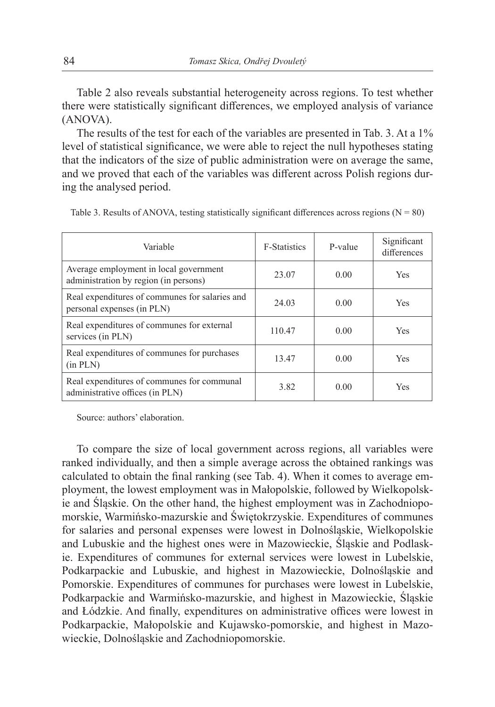Table 2 also reveals substantial heterogeneity across regions. To test whether there were statistically significant differences, we employed analysis of variance (ANOVA).

The results of the test for each of the variables are presented in Tab. 3. At a 1% level of statistical significance, we were able to reject the null hypotheses stating that the indicators of the size of public administration were on average the same, and we proved that each of the variables was different across Polish regions during the analysed period.

| Variable                                                                        | <b>F-Statistics</b> | P-value | Significant<br>differences |
|---------------------------------------------------------------------------------|---------------------|---------|----------------------------|
| Average employment in local government<br>administration by region (in persons) | 23.07               | 0.00    | <b>Yes</b>                 |
| Real expenditures of communes for salaries and<br>personal expenses (in PLN)    | 24.03               | 0.00    | <b>Yes</b>                 |
| Real expenditures of communes for external<br>services (in PLN)                 | 110.47              | 0.00    | <b>Yes</b>                 |
| Real expenditures of communes for purchases<br>(in PLN)                         | 13.47               | 0.00    | <b>Yes</b>                 |
| Real expenditures of communes for communal<br>administrative offices (in PLN)   | 3.82                | 0.00    | Yes                        |

Table 3. Results of ANOVA, testing statistically significant differences across regions ( $N = 80$ )

Source: authors' elaboration.

To compare the size of local government across regions, all variables were ranked individually, and then a simple average across the obtained rankings was calculated to obtain the final ranking (see Tab. 4). When it comes to average employment, the lowest employment was in Małopolskie, followed by Wielkopolskie and Śląskie. On the other hand, the highest employment was in Zachodniopomorskie, Warmińsko-mazurskie and Świętokrzyskie. Expenditures of communes for salaries and personal expenses were lowest in Dolnośląskie, Wielkopolskie and Lubuskie and the highest ones were in Mazowieckie, Śląskie and Podlaskie. Expenditures of communes for external services were lowest in Lubelskie, Podkarpackie and Lubuskie, and highest in Mazowieckie, Dolnośląskie and Pomorskie. Expenditures of communes for purchases were lowest in Lubelskie, Podkarpackie and Warmińsko-mazurskie, and highest in Mazowieckie, Śląskie and Łódzkie. And finally, expenditures on administrative offices were lowest in Podkarpackie, Małopolskie and Kujawsko-pomorskie, and highest in Mazowieckie, Dolnośląskie and Zachodniopomorskie.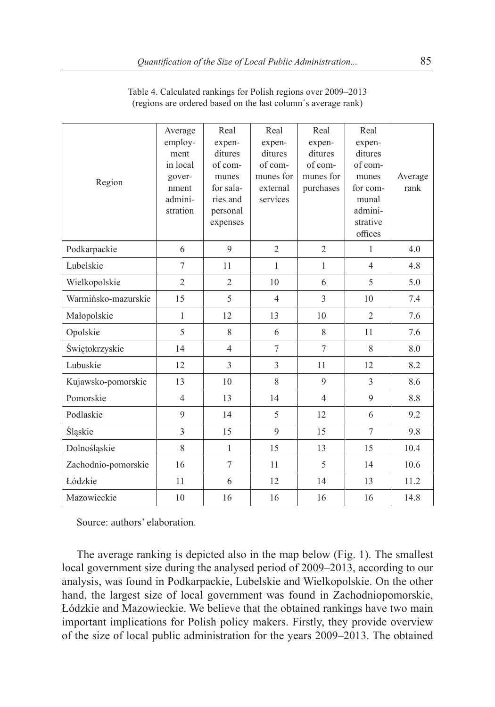| Region              | Average<br>employ-<br>ment<br>in local<br>gover-<br>nment<br>admini-<br>stration | Real<br>expen-<br>ditures<br>of com-<br>munes<br>for sala-<br>ries and<br>personal<br>expenses | Real<br>expen-<br>ditures<br>of com-<br>munes for<br>external<br>services | Real<br>expen-<br>ditures<br>of com-<br>munes for<br>purchases | Real<br>expen-<br>ditures<br>of com-<br>munes<br>for com-<br>munal<br>admini-<br>strative<br>offices | Average<br>rank |
|---------------------|----------------------------------------------------------------------------------|------------------------------------------------------------------------------------------------|---------------------------------------------------------------------------|----------------------------------------------------------------|------------------------------------------------------------------------------------------------------|-----------------|
| Podkarpackie        | 6                                                                                | 9                                                                                              | $\overline{2}$                                                            | $\overline{2}$                                                 | 1                                                                                                    | 4.0             |
| Lubelskie           | $\overline{7}$                                                                   | 11                                                                                             | $\mathbf{1}$                                                              | $\mathbf{1}$                                                   | $\overline{4}$                                                                                       | 4.8             |
| Wielkopolskie       | $\overline{2}$                                                                   | $\overline{2}$                                                                                 | 10                                                                        | 6                                                              | 5                                                                                                    | 5.0             |
| Warmińsko-mazurskie | 15                                                                               | 5                                                                                              | $\overline{4}$                                                            | 3                                                              | 10                                                                                                   | 7.4             |
| Małopolskie         | $\mathbf{1}$                                                                     | 12                                                                                             | 13                                                                        | 10                                                             | $\overline{2}$                                                                                       | 7.6             |
| Opolskie            | 5                                                                                | 8                                                                                              | 6                                                                         | 8                                                              | 11                                                                                                   | 7.6             |
| Świętokrzyskie      | 14                                                                               | $\overline{4}$                                                                                 | $\tau$                                                                    | 7                                                              | 8                                                                                                    | 8.0             |
| Lubuskie            | 12                                                                               | 3                                                                                              | 3                                                                         | 11                                                             | 12                                                                                                   | 8.2             |
| Kujawsko-pomorskie  | 13                                                                               | 10                                                                                             | 8                                                                         | 9                                                              | 3                                                                                                    | 8.6             |
| Pomorskie           | $\overline{4}$                                                                   | 13                                                                                             | 14                                                                        | $\overline{4}$                                                 | 9                                                                                                    | 8.8             |
| Podlaskie           | 9                                                                                | 14                                                                                             | 5                                                                         | 12                                                             | 6                                                                                                    | 9.2             |
| Śląskie             | 3                                                                                | 15                                                                                             | $\mathbf{Q}$                                                              | 15                                                             | $\overline{7}$                                                                                       | 9.8             |
| Dolnośląskie        | 8                                                                                | $\mathbf{1}$                                                                                   | 15                                                                        | 13                                                             | 15                                                                                                   | 10.4            |
| Zachodnio-pomorskie | 16                                                                               | 7                                                                                              | 11                                                                        | 5                                                              | 14                                                                                                   | 10.6            |
| Łódzkie             | 11                                                                               | 6                                                                                              | 12                                                                        | 14                                                             | 13                                                                                                   | 11.2            |
| Mazowieckie         | 10                                                                               | 16                                                                                             | 16                                                                        | 16                                                             | 16                                                                                                   | 14.8            |

Table 4. Calculated rankings for Polish regions over 2009–2013 (regions are ordered based on the last column´s average rank)

Source: authors' elaboration*.*

The average ranking is depicted also in the map below (Fig. 1). The smallest local government size during the analysed period of 2009–2013, according to our analysis, was found in Podkarpackie, Lubelskie and Wielkopolskie. On the other hand, the largest size of local government was found in Zachodniopomorskie, Łódzkie and Mazowieckie. We believe that the obtained rankings have two main important implications for Polish policy makers. Firstly, they provide overview of the size of local public administration for the years 2009–2013. The obtained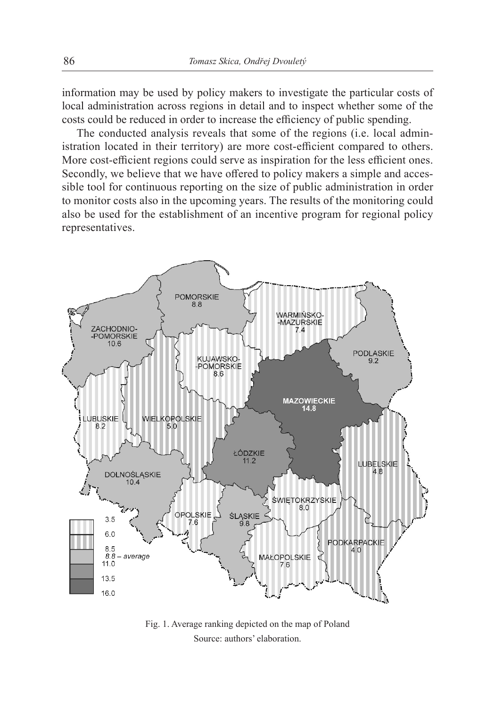information may be used by policy makers to investigate the particular costs of local administration across regions in detail and to inspect whether some of the costs could be reduced in order to increase the efficiency of public spending.

The conducted analysis reveals that some of the regions (i.e. local administration located in their territory) are more cost-efficient compared to others. More cost-efficient regions could serve as inspiration for the less efficient ones. Secondly, we believe that we have offered to policy makers a simple and accessible tool for continuous reporting on the size of public administration in order to monitor costs also in the upcoming years. The results of the monitoring could also be used for the establishment of an incentive program for regional policy representatives.



Fig. 1. Average ranking depicted on the map of Poland Source: authors' elaboration.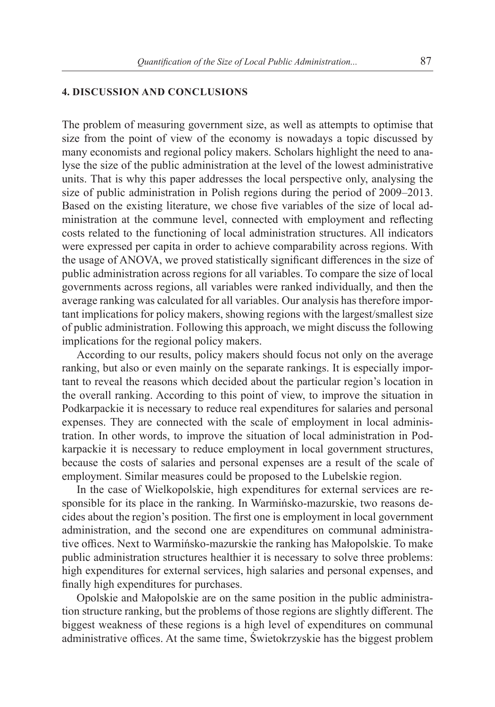### **4. DISCUSSION AND CONCLUSIONS**

The problem of measuring government size, as well as attempts to optimise that size from the point of view of the economy is nowadays a topic discussed by many economists and regional policy makers. Scholars highlight the need to analyse the size of the public administration at the level of the lowest administrative units. That is why this paper addresses the local perspective only, analysing the size of public administration in Polish regions during the period of 2009–2013. Based on the existing literature, we chose five variables of the size of local administration at the commune level, connected with employment and reflecting costs related to the functioning of local administration structures. All indicators were expressed per capita in order to achieve comparability across regions. With the usage of ANOVA, we proved statistically significant differences in the size of public administration across regions for all variables. To compare the size of local governments across regions, all variables were ranked individually, and then the average ranking was calculated for all variables. Our analysis has therefore important implications for policy makers, showing regions with the largest/smallest size of public administration. Following this approach, we might discuss the following implications for the regional policy makers.

According to our results, policy makers should focus not only on the average ranking, but also or even mainly on the separate rankings. It is especially important to reveal the reasons which decided about the particular region's location in the overall ranking. According to this point of view, to improve the situation in Podkarpackie it is necessary to reduce real expenditures for salaries and personal expenses. They are connected with the scale of employment in local administration. In other words, to improve the situation of local administration in Podkarpackie it is necessary to reduce employment in local government structures, because the costs of salaries and personal expenses are a result of the scale of employment. Similar measures could be proposed to the Lubelskie region.

In the case of Wielkopolskie, high expenditures for external services are responsible for its place in the ranking. In Warmińsko-mazurskie, two reasons decides about the region's position. The first one is employment in local government administration, and the second one are expenditures on communal administrative offices. Next to Warmińsko-mazurskie the ranking has Małopolskie. To make public administration structures healthier it is necessary to solve three problems: high expenditures for external services, high salaries and personal expenses, and finally high expenditures for purchases.

Opolskie and Małopolskie are on the same position in the public administration structure ranking, but the problems of those regions are slightly different. The biggest weakness of these regions is a high level of expenditures on communal administrative offices. At the same time, Świetokrzyskie has the biggest problem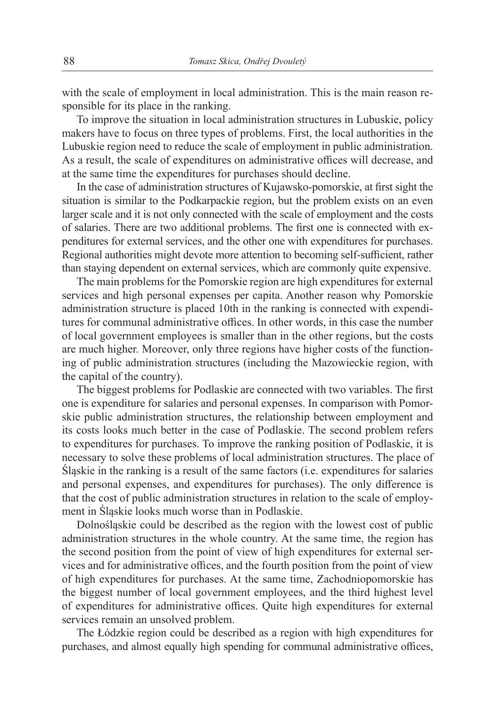with the scale of employment in local administration. This is the main reason responsible for its place in the ranking.

To improve the situation in local administration structures in Lubuskie, policy makers have to focus on three types of problems. First, the local authorities in the Lubuskie region need to reduce the scale of employment in public administration. As a result, the scale of expenditures on administrative offices will decrease, and at the same time the expenditures for purchases should decline.

In the case of administration structures of Kujawsko-pomorskie, at first sight the situation is similar to the Podkarpackie region, but the problem exists on an even larger scale and it is not only connected with the scale of employment and the costs of salaries. There are two additional problems. The first one is connected with expenditures for external services, and the other one with expenditures for purchases. Regional authorities might devote more attention to becoming self-sufficient, rather than staying dependent on external services, which are commonly quite expensive.

The main problems for the Pomorskie region are high expenditures for external services and high personal expenses per capita. Another reason why Pomorskie administration structure is placed 10th in the ranking is connected with expenditures for communal administrative offices. In other words, in this case the number of local government employees is smaller than in the other regions, but the costs are much higher. Moreover, only three regions have higher costs of the functioning of public administration structures (including the Mazowieckie region, with the capital of the country).

The biggest problems for Podlaskie are connected with two variables. The first one is expenditure for salaries and personal expenses. In comparison with Pomorskie public administration structures, the relationship between employment and its costs looks much better in the case of Podlaskie. The second problem refers to expenditures for purchases. To improve the ranking position of Podlaskie, it is necessary to solve these problems of local administration structures. The place of Śląskie in the ranking is a result of the same factors (i.e. expenditures for salaries and personal expenses, and expenditures for purchases). The only difference is that the cost of public administration structures in relation to the scale of employment in Śląskie looks much worse than in Podlaskie.

Dolnośląskie could be described as the region with the lowest cost of public administration structures in the whole country. At the same time, the region has the second position from the point of view of high expenditures for external services and for administrative offices, and the fourth position from the point of view of high expenditures for purchases. At the same time, Zachodniopomorskie has the biggest number of local government employees, and the third highest level of expenditures for administrative offices. Quite high expenditures for external services remain an unsolved problem.

The Łódzkie region could be described as a region with high expenditures for purchases, and almost equally high spending for communal administrative offices,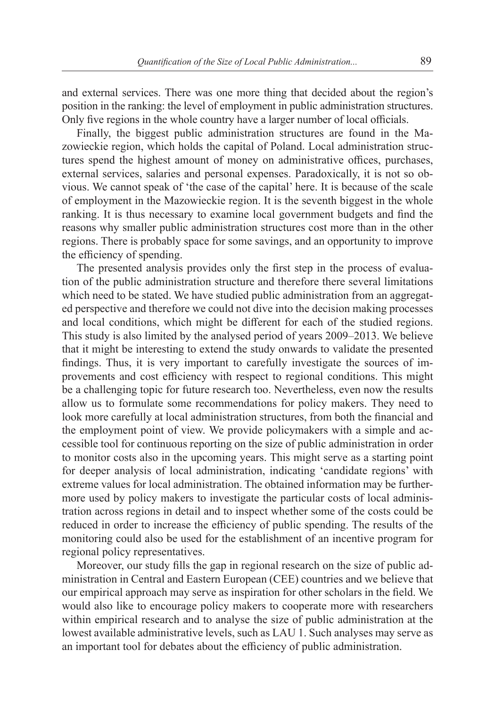and external services. There was one more thing that decided about the region's position in the ranking: the level of employment in public administration structures. Only five regions in the whole country have a larger number of local officials.

Finally, the biggest public administration structures are found in the Mazowieckie region, which holds the capital of Poland. Local administration structures spend the highest amount of money on administrative offices, purchases, external services, salaries and personal expenses. Paradoxically, it is not so obvious. We cannot speak of 'the case of the capital' here. It is because of the scale of employment in the Mazowieckie region. It is the seventh biggest in the whole ranking. It is thus necessary to examine local government budgets and find the reasons why smaller public administration structures cost more than in the other regions. There is probably space for some savings, and an opportunity to improve the efficiency of spending.

The presented analysis provides only the first step in the process of evaluation of the public administration structure and therefore there several limitations which need to be stated. We have studied public administration from an aggregated perspective and therefore we could not dive into the decision making processes and local conditions, which might be different for each of the studied regions. This study is also limited by the analysed period of years 2009–2013. We believe that it might be interesting to extend the study onwards to validate the presented findings. Thus, it is very important to carefully investigate the sources of improvements and cost efficiency with respect to regional conditions. This might be a challenging topic for future research too. Nevertheless, even now the results allow us to formulate some recommendations for policy makers. They need to look more carefully at local administration structures, from both the financial and the employment point of view. We provide policymakers with a simple and accessible tool for continuous reporting on the size of public administration in order to monitor costs also in the upcoming years. This might serve as a starting point for deeper analysis of local administration, indicating 'candidate regions' with extreme values for local administration. The obtained information may be furthermore used by policy makers to investigate the particular costs of local administration across regions in detail and to inspect whether some of the costs could be reduced in order to increase the efficiency of public spending. The results of the monitoring could also be used for the establishment of an incentive program for regional policy representatives.

Moreover, our study fills the gap in regional research on the size of public administration in Central and Eastern European (CEE) countries and we believe that our empirical approach may serve as inspiration for other scholars in the field. We would also like to encourage policy makers to cooperate more with researchers within empirical research and to analyse the size of public administration at the lowest available administrative levels, such as LAU 1. Such analyses may serve as an important tool for debates about the efficiency of public administration.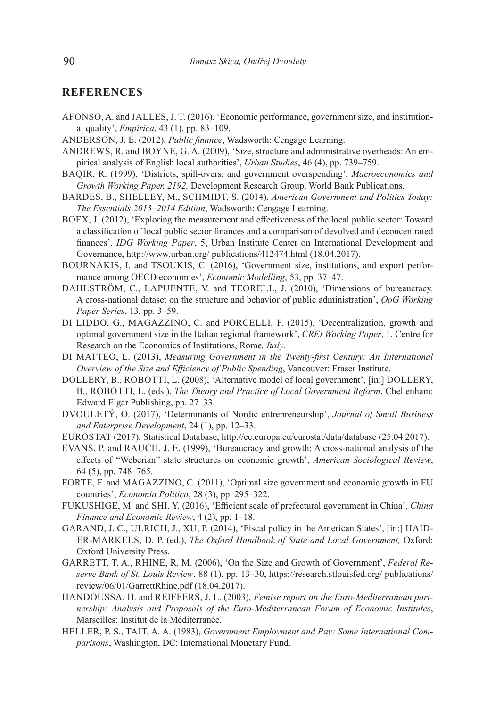## **REFERENCES**

- AFONSO, A. and JALLES, J. T. (2016), 'Economic performance, government size, and institutional quality', *Empirica*, 43 (1), pp. 83–109.
- ANDERSON, J. E. (2012), *Public finance*, Wadsworth: Cengage Learning.
- ANDREWS, R. and BOYNE, G. A. (2009), 'Size, structure and administrative overheads: An empirical analysis of English local authorities', *Urban Studies*, 46 (4), pp. 739–759.
- BAQIR, R. (1999), 'Districts, spill-overs, and government overspending', *Macroeconomics and Growth Working Paper, 2192,* Development Research Group, World Bank Publications.
- BARDES, B., SHELLEY, M., SCHMIDT, S. (2014), *American Government and Politics Today: The Essentials 2013–2014 Edition*, Wadsworth: Cengage Learning.
- BOEX, J. (2012), 'Exploring the measurement and effectiveness of the local public sector: Toward a classification of local public sector finances and a comparison of devolved and deconcentrated finances', *IDG Working Paper*, 5, Urban Institute Center on International Development and Governance, http://www.urban.org/ publications/412474.html (18.04.2017).
- BOURNAKIS, I. and TSOUKIS, C. (2016), 'Government size, institutions, and export performance among OECD economies', *Economic Modelling*, 53, pp. 37–47.
- DAHLSTRÖM, C., LAPUENTE, V. and TEORELL, J. (2010), 'Dimensions of bureaucracy. A cross-national dataset on the structure and behavior of public administration', *QoG Working Paper Series*, 13, pp. 3–59.
- DI LIDDO, G., MAGAZZINO, C. and PORCELLI, F. (2015), 'Decentralization, growth and optimal government size in the Italian regional framework', *CREI Working Paper*, 1, Centre for Research on the Economics of Institutions, Rome*, Italy*.
- DI MATTEO, L. (2013), *Measuring Government in the Twenty-first Century: An International Overview of the Size and Efficiency of Public Spending*, Vancouver: Fraser Institute.
- DOLLERY, B., ROBOTTI, L. (2008), 'Alternative model of local government', [in:] DOLLERY, B., ROBOTTI, L. (eds.), *The Theory and Practice of Local Government Reform*, Cheltenham: Edward Elgar Publishing, pp. 27–33.
- DVOULETÝ, O. (2017), 'Determinants of Nordic entrepreneurship', *Journal of Small Business and Enterprise Development*, 24 (1), pp. 12–33.
- EUROSTAT (2017), Statistical Database, http://ec.europa.eu/eurostat/data/database (25.04.2017).
- EVANS, P. and RAUCH, J. E. (1999), 'Bureaucracy and growth: A cross-national analysis of the effects of "Weberian" state structures on economic growth', *American Sociological Review*, 64 (5), pp. 748–765.
- FORTE, F. and MAGAZZINO, C. (2011), 'Optimal size government and economic growth in EU countries', *Economia Politica*, 28 (3), pp. 295–322.
- FUKUSHIGE, M. and SHI, Y. (2016), 'Efficient scale of prefectural government in China', *China Finance and Economic Review*, 4 (2), pp. 1-18.
- GARAND, J. C., ULRICH, J., XU, P. (2014), 'Fiscal policy in the American States', [in:] HAID-ER-MARKELS, D. P. (ed.), *The Oxford Handbook of State and Local Government,* Oxford: Oxford University Press.
- GARRETT, T. A., RHINE, R. M. (2006), 'On the Size and Growth of Government', *Federal Reserve Bank of St. Louis Review*, 88 (1), pp. 13‒30, https://research.stlouisfed.org/ publications/ review/06/01/GarrettRhine.pdf (18.04.2017).
- HANDOUSSA, H. and REIFFERS, J. L. (2003), *Femise report on the Euro-Mediterranean partnership: Analysis and Proposals of the Euro-Mediterranean Forum of Economic Institutes*, Marseilles: Institut de la Méditerranée.
- HELLER, P. S., TAIT, A. A. (1983), *Government Employment and Pay: Some International Comparisons*, Washington, DC: International Monetary Fund.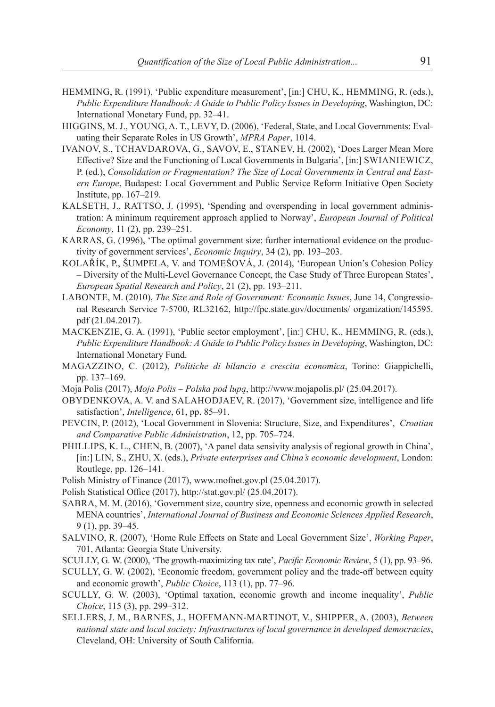- HEMMING, R. (1991), 'Public expenditure measurement', [in:] CHU, K., HEMMING, R. (eds.), *Public Expenditure Handbook: A Guide to Public Policy Issues in Developing*, Washington, DC: International Monetary Fund, pp. 32–41.
- HIGGINS, M. J., YOUNG, A. T., LEVY, D. (2006), 'Federal, State, and Local Governments: Evaluating their Separate Roles in US Growth', *MPRA Paper*, 1014.
- IVANOV, S., TCHAVDAROVA, G., SAVOV, E., STANEV, H. (2002), 'Does Larger Mean More Effective? Size and the Functioning of Local Governments in Bulgaria', [in:] SWIANIEWICZ, P. (ed.), *Consolidation or Fragmentation? The Size of Local Governments in Central and Eastern Europe*, Budapest: Local Government and Public Service Reform Initiative Open Society Institute, pp. 167‒219.
- KALSETH, J., RATTSO, J. (1995), 'Spending and overspending in local government administration: A minimum requirement approach applied to Norway', *European Journal of Political Economy*, 11 (2), pp. 239–251.
- KARRAS, G. (1996), 'The optimal government size: further international evidence on the productivity of government services', *Economic Inquiry*, 34 (2), pp. 193–203.
- KOLAŘÍK, P., ŠUMPELA, V. and TOMEŠOVÁ, J. (2014), 'European Union's Cohesion Policy – Diversity of the Multi-Level Governance Concept, the Case Study of Three European States', *European Spatial Research and Policy*, 21 (2), pp. 193–211.
- LABONTE, M. (2010), *The Size and Role of Government: Economic Issues*, June 14, Congressional Research Service 7-5700, RL32162, http://fpc.state.gov/documents/ organization/145595. pdf (21.04.2017).
- MACKENZIE, G. A. (1991), 'Public sector employment', [in:] CHU, K., HEMMING, R. (eds.), *Public Expenditure Handbook: A Guide to Public Policy Issues in Developing*, Washington, DC: International Monetary Fund.
- MAGAZZINO, C. (2012), *Politiche di bilancio e crescita economica*, Torino: Giappichelli, pp. 137-169.
- Moja Polis (2017), *Moja Polis Polska pod lupą*, http://www.mojapolis.pl/ (25.04.2017).
- OBYDENKOVA, A. V. and SALAHODJAEV, R. (2017), 'Government size, intelligence and life satisfaction', *Intelligence*, 61, pp. 85–91.
- PEVCIN, P. (2012), 'Local Government in Slovenia: Structure, Size, and Expenditures', *Croatian and Comparative Public Administration*, 12, pp. 705‒724.
- PHILLIPS, K. L., CHEN, B. (2007), 'A panel data sensivity analysis of regional growth in China', [in:] LIN, S., ZHU, X. (eds.), *Private enterprises and China's economic development*, London: Routlege, pp. 126‒141.
- Polish Ministry of Finance (2017), [www.mofnet.gov.pl](http://www.mofnet.gov.pl) (25.04.2017).
- Polish Statistical Office (2017), <http://stat.gov.pl/>(25.04.2017).
- SABRA, M. M. (2016), 'Government size, country size, openness and economic growth in selected MENA countries', *International Journal of Business and Economic Sciences Applied Research*, 9 (1), pp. 39–45.
- SALVINO, R. (2007), 'Home Rule Effects on State and Local Government Size', *Working Paper*, 701, Atlanta: Georgia State University.
- SCULLY, G. W. (2000), 'The growth-maximizing tax rate', *Pacific Economic Review*, 5 (1), pp. 93–96.
- SCULLY, G. W. (2002), 'Economic freedom, government policy and the trade-off between equity and economic growth', *Public Choice*, 113 (1), pp. 77–96.
- SCULLY, G. W. (2003), 'Optimal taxation, economic growth and income inequality', *Public Choice*, 115 (3), pp. 299–312.
- SELLERS, J. M., BARNES, J., HOFFMANN-MARTINOT, V., SHIPPER, A. (2003), *Between national state and local society: Infrastructures of local governance in developed democracies*, Cleveland, OH: University of South California.